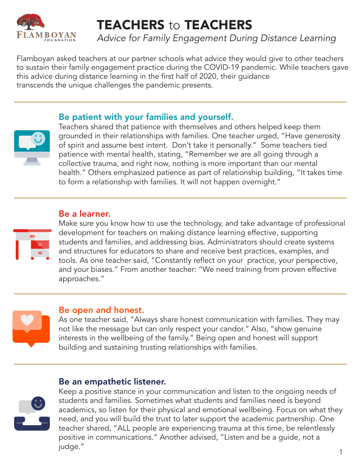

# TEACHERS to TEACHERS

*Advice for Family Engagement During Distance Learning*

Flamboyan asked teachers at our partner schools what advice they would give to other teachers to sustain their family engagement practice during the COVID-19 pandemic. While teachers gave this advice during distance learning in the first half of 2020, their guidance transcends the unique challenges the pandemic presents.

## Be patient with your families and yourself.



Teachers shared that patience with themselves and others helped keep them grounded in their relationships with families. One teacher urged, "Have generosity of spirit and assume best intent. Don't take it personally." Some teachers tied patience with mental health, stating, "Remember we are all going through a collective trauma, and right now, nothing is more important than our mental health." Others emphasized patience as part of relationship building, "It takes time to form a relationship with families. It will not happen overnight."

#### Be a learner.



Make sure you know how to use the technology, and take advantage of professional development for teachers on making distance learning effective, supporting students and families, and addressing bias. Administrators should create systems and structures for educators to share and receive best practices, examples, and tools. As one teacher said, "Constantly reflect on your practice, your perspective, and your biases." From another teacher: "We need training from proven effective approaches."



#### Be open and honest.

As one teacher said, "Always share honest communication with families. They may not like the message but can only respect your candor." Also, "show genuine interests in the wellbeing of the family." Being open and honest will support building and sustaining trusting relationships with families.

#### Be an empathetic listener.



Keep a positive stance in your communication and listen to the ongoing needs of students and families. Sometimes what students and families need is beyond academics, so listen for their physical and emotional wellbeing. Focus on what they need, and you will build the trust to later support the academic partnership. One teacher shared, "ALL people are experiencing trauma at this time, be relentlessly positive in communications." Another advised, "Listen and be a guide, not a judge."